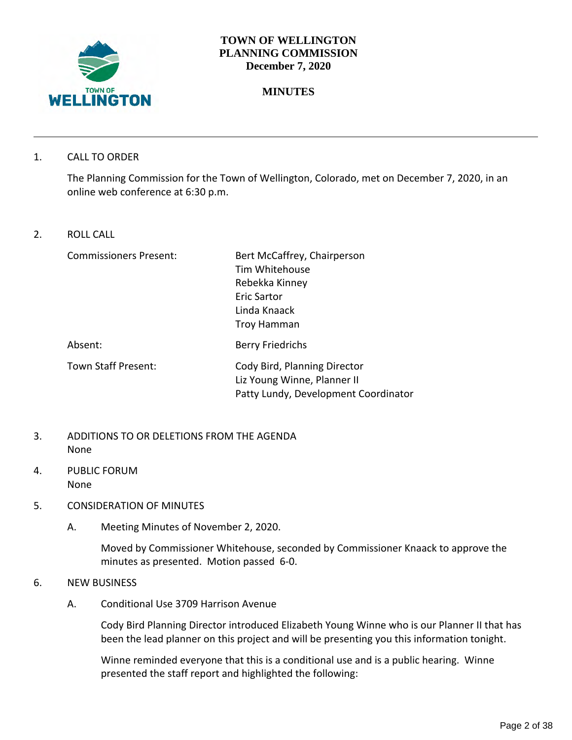

## **TOWN OF WELLINGTON PLANNING COMMISSION December 7, 2020**

# **MINUTES**

1. CALL TO ORDER

The Planning Commission for the Town of Wellington, Colorado, met on December 7, 2020, in an online web conference at 6:30 p.m.

2. ROLL CALL

| <b>Commissioners Present:</b> | Bert McCaffrey, Chairperson                                                                         |
|-------------------------------|-----------------------------------------------------------------------------------------------------|
|                               | Tim Whitehouse                                                                                      |
|                               | Rebekka Kinney                                                                                      |
|                               | <b>Eric Sartor</b>                                                                                  |
|                               | Linda Knaack                                                                                        |
|                               | Troy Hamman                                                                                         |
| Absent:                       | <b>Berry Friedrichs</b>                                                                             |
| Town Staff Present:           | Cody Bird, Planning Director<br>Liz Young Winne, Planner II<br>Patty Lundy, Development Coordinator |
|                               |                                                                                                     |

- 3. ADDITIONS TO OR DELETIONS FROM THE AGENDA None
- 4. PUBLIC FORUM None
- 5. CONSIDERATION OF MINUTES
	- A. Meeting Minutes of November 2, 2020.

Moved by Commissioner Whitehouse, seconded by Commissioner Knaack to approve the minutes as presented. Motion passed 6-0.

- 6. NEW BUSINESS
	- A. Conditional Use 3709 Harrison Avenue

Cody Bird Planning Director introduced Elizabeth Young Winne who is our Planner II that has been the lead planner on this project and will be presenting you this information tonight.

Winne reminded everyone that this is a conditional use and is a public hearing. Winne presented the staff report and highlighted the following: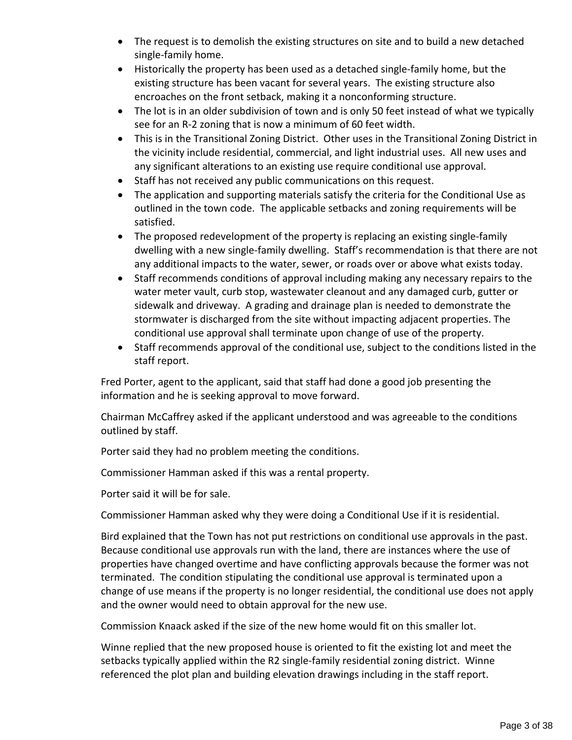- The request is to demolish the existing structures on site and to build a new detached single-family home.
- Historically the property has been used as a detached single-family home, but the existing structure has been vacant for several years. The existing structure also encroaches on the front setback, making it a nonconforming structure.
- The lot is in an older subdivision of town and is only 50 feet instead of what we typically see for an R-2 zoning that is now a minimum of 60 feet width.
- This is in the Transitional Zoning District. Other uses in the Transitional Zoning District in the vicinity include residential, commercial, and light industrial uses. All new uses and any significant alterations to an existing use require conditional use approval.
- Staff has not received any public communications on this request.
- The application and supporting materials satisfy the criteria for the Conditional Use as outlined in the town code. The applicable setbacks and zoning requirements will be satisfied.
- The proposed redevelopment of the property is replacing an existing single-family dwelling with a new single-family dwelling. Staff's recommendation is that there are not any additional impacts to the water, sewer, or roads over or above what exists today.
- Staff recommends conditions of approval including making any necessary repairs to the water meter vault, curb stop, wastewater cleanout and any damaged curb, gutter or sidewalk and driveway. A grading and drainage plan is needed to demonstrate the stormwater is discharged from the site without impacting adjacent properties. The conditional use approval shall terminate upon change of use of the property.
- Staff recommends approval of the conditional use, subject to the conditions listed in the staff report.

Fred Porter, agent to the applicant, said that staff had done a good job presenting the information and he is seeking approval to move forward.

Chairman McCaffrey asked if the applicant understood and was agreeable to the conditions outlined by staff.

Porter said they had no problem meeting the conditions.

Commissioner Hamman asked if this was a rental property.

Porter said it will be for sale.

Commissioner Hamman asked why they were doing a Conditional Use if it is residential.

Bird explained that the Town has not put restrictions on conditional use approvals in the past. Because conditional use approvals run with the land, there are instances where the use of properties have changed overtime and have conflicting approvals because the former was not terminated. The condition stipulating the conditional use approval is terminated upon a change of use means if the property is no longer residential, the conditional use does not apply and the owner would need to obtain approval for the new use.

Commission Knaack asked if the size of the new home would fit on this smaller lot.

Winne replied that the new proposed house is oriented to fit the existing lot and meet the setbacks typically applied within the R2 single-family residential zoning district. Winne referenced the plot plan and building elevation drawings including in the staff report.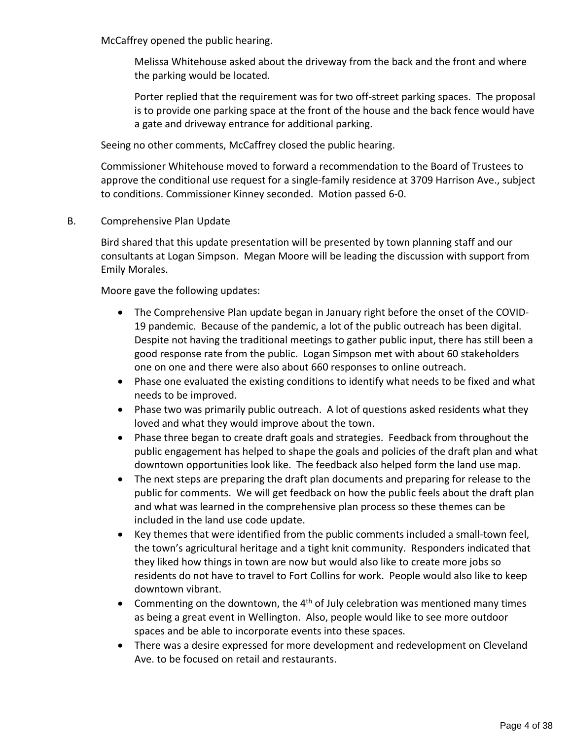McCaffrey opened the public hearing.

Melissa Whitehouse asked about the driveway from the back and the front and where the parking would be located.

Porter replied that the requirement was for two off-street parking spaces. The proposal is to provide one parking space at the front of the house and the back fence would have a gate and driveway entrance for additional parking.

Seeing no other comments, McCaffrey closed the public hearing.

Commissioner Whitehouse moved to forward a recommendation to the Board of Trustees to approve the conditional use request for a single-family residence at 3709 Harrison Ave., subject to conditions. Commissioner Kinney seconded. Motion passed 6-0.

B. Comprehensive Plan Update

Bird shared that this update presentation will be presented by town planning staff and our consultants at Logan Simpson. Megan Moore will be leading the discussion with support from Emily Morales.

Moore gave the following updates:

- The Comprehensive Plan update began in January right before the onset of the COVID-19 pandemic. Because of the pandemic, a lot of the public outreach has been digital. Despite not having the traditional meetings to gather public input, there has still been a good response rate from the public. Logan Simpson met with about 60 stakeholders one on one and there were also about 660 responses to online outreach.
- Phase one evaluated the existing conditions to identify what needs to be fixed and what needs to be improved.
- Phase two was primarily public outreach. A lot of questions asked residents what they loved and what they would improve about the town.
- Phase three began to create draft goals and strategies. Feedback from throughout the public engagement has helped to shape the goals and policies of the draft plan and what downtown opportunities look like. The feedback also helped form the land use map.
- The next steps are preparing the draft plan documents and preparing for release to the public for comments. We will get feedback on how the public feels about the draft plan and what was learned in the comprehensive plan process so these themes can be included in the land use code update.
- Key themes that were identified from the public comments included a small-town feel, the town's agricultural heritage and a tight knit community. Responders indicated that they liked how things in town are now but would also like to create more jobs so residents do not have to travel to Fort Collins for work. People would also like to keep downtown vibrant.
- Commenting on the downtown, the  $4<sup>th</sup>$  of July celebration was mentioned many times as being a great event in Wellington. Also, people would like to see more outdoor spaces and be able to incorporate events into these spaces.
- There was a desire expressed for more development and redevelopment on Cleveland Ave. to be focused on retail and restaurants.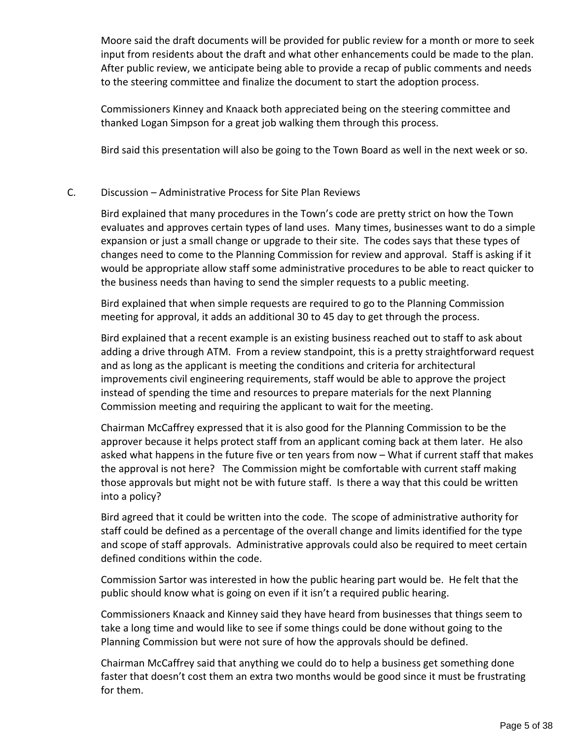Moore said the draft documents will be provided for public review for a month or more to seek input from residents about the draft and what other enhancements could be made to the plan. After public review, we anticipate being able to provide a recap of public comments and needs to the steering committee and finalize the document to start the adoption process.

Commissioners Kinney and Knaack both appreciated being on the steering committee and thanked Logan Simpson for a great job walking them through this process.

Bird said this presentation will also be going to the Town Board as well in the next week or so.

## C. Discussion – Administrative Process for Site Plan Reviews

Bird explained that many procedures in the Town's code are pretty strict on how the Town evaluates and approves certain types of land uses. Many times, businesses want to do a simple expansion or just a small change or upgrade to their site. The codes says that these types of changes need to come to the Planning Commission for review and approval. Staff is asking if it would be appropriate allow staff some administrative procedures to be able to react quicker to the business needs than having to send the simpler requests to a public meeting.

Bird explained that when simple requests are required to go to the Planning Commission meeting for approval, it adds an additional 30 to 45 day to get through the process.

Bird explained that a recent example is an existing business reached out to staff to ask about adding a drive through ATM. From a review standpoint, this is a pretty straightforward request and as long as the applicant is meeting the conditions and criteria for architectural improvements civil engineering requirements, staff would be able to approve the project instead of spending the time and resources to prepare materials for the next Planning Commission meeting and requiring the applicant to wait for the meeting.

Chairman McCaffrey expressed that it is also good for the Planning Commission to be the approver because it helps protect staff from an applicant coming back at them later. He also asked what happens in the future five or ten years from now – What if current staff that makes the approval is not here? The Commission might be comfortable with current staff making those approvals but might not be with future staff. Is there a way that this could be written into a policy?

Bird agreed that it could be written into the code. The scope of administrative authority for staff could be defined as a percentage of the overall change and limits identified for the type and scope of staff approvals. Administrative approvals could also be required to meet certain defined conditions within the code.

Commission Sartor was interested in how the public hearing part would be. He felt that the public should know what is going on even if it isn't a required public hearing.

Commissioners Knaack and Kinney said they have heard from businesses that things seem to take a long time and would like to see if some things could be done without going to the Planning Commission but were not sure of how the approvals should be defined.

Chairman McCaffrey said that anything we could do to help a business get something done faster that doesn't cost them an extra two months would be good since it must be frustrating for them.